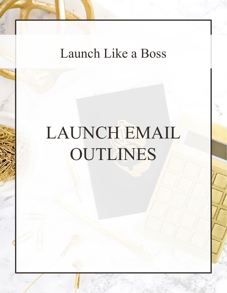# Launch Like a Boss

# LAUNCH EMAIL OUTLINES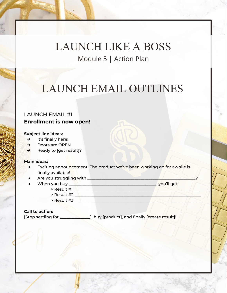# LAUNCH EMAIL OUTLINES

### LAUNCH EMAIL #1 **Enrollment is now open!**

### **Subject line ideas:**

- $\rightarrow$  It's finally here!
- ➔ Doors are OPEN
- → Ready to [get result]?

#### **Main ideas:**

- Exciting announcement! The product we've been working on for awhile is finally available!
- Are you struggling with \_\_\_\_\_\_\_\_\_\_\_\_\_\_\_\_\_\_\_\_\_\_\_\_\_\_\_\_\_\_\_\_\_\_\_\_\_\_\_\_\_\_\_\_\_\_\_\_\_\_\_\_\_?
- When you buy \_\_\_\_\_\_\_\_\_\_\_\_\_\_\_\_\_\_\_\_\_\_\_\_\_\_\_\_\_\_\_\_\_\_\_\_\_\_\_\_\_\_\_, you'll get
	- > Result #1 \_\_\_\_\_\_\_\_\_\_\_\_\_\_\_\_\_\_\_\_\_\_\_\_\_\_\_\_\_\_\_\_\_\_\_\_\_\_\_\_\_\_\_\_\_\_\_\_\_\_\_\_\_\_\_\_\_\_\_\_\_\_
	- $>$  Result #2
	- $>$  Result #3  $\longrightarrow$   $\blacksquare$

### **Call to action:**

[Stop settling for \_\_\_\_\_\_\_\_\_\_\_\_\_\_\_], buy [product], and finally [create result]!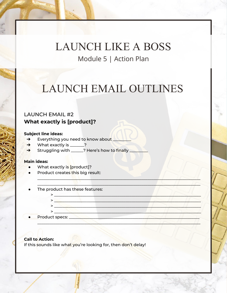## LAUNCH EMAIL OUTLINES

\_\_\_\_\_\_\_\_\_\_\_\_\_\_\_\_\_\_\_\_\_\_\_\_\_\_\_\_\_\_\_\_\_\_\_\_\_\_\_\_\_\_\_\_\_\_\_\_\_\_\_\_\_\_\_\_\_\_\_\_\_\_\_\_\_\_\_\_\_\_\_\_\_\_\_\_\_\_\_\_  $\blacksquare$ 

\_\_\_\_\_\_\_\_\_\_\_\_\_\_\_\_\_\_\_\_\_\_\_\_\_\_\_\_\_\_\_\_\_\_\_\_\_\_\_\_\_\_\_\_\_\_\_\_\_\_\_\_\_\_\_\_\_\_\_\_\_\_\_\_\_\_\_\_\_\_\_\_\_\_\_\_\_\_\_\_

### LAUNCH EMAIL #2 **What exactly is [product]?**

### **Subject line ideas:**

- → Everything you need to know about
- → What exactly is \_\_\_\_\_\_?
- → Struggling with \_\_\_\_\_? Here's how to finally \_\_\_\_\_\_\_\_\_\_\_\_\_\_\_\_\_\_\_\_\_\_\_\_\_\_\_\_\_\_\_\_\_

### **Main ideas:**

- What exactly is [product]?
- Product creates this big result:
- The product has these features:

> \_\_\_\_\_\_\_\_\_\_\_\_\_\_\_\_\_\_\_\_\_\_\_\_\_\_\_\_\_\_\_\_\_\_\_\_\_\_\_\_\_\_\_\_\_\_\_\_\_\_\_\_\_\_\_\_\_\_\_\_\_\_\_\_\_\_\_\_\_\_\_\_

● Product specs: \_\_\_\_\_\_\_\_\_\_\_\_\_\_\_\_\_\_\_\_\_\_\_\_\_\_\_\_\_\_\_\_\_\_\_\_\_\_\_\_\_\_\_\_\_\_\_\_\_\_\_\_\_\_\_\_\_\_\_\_\_\_\_\_

### **Call to Action:**

If this sounds like what you're looking for, then don't delay!

 $>$  , and  $\sim$  , and  $\sim$  , and  $\sim$  , and  $\sim$  , and  $\sim$  $> 2.3$ 

 $\blacktriangleright$  , and the contribution of the contribution of  $\mathbb{C}$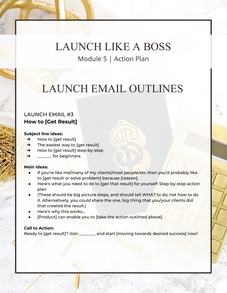# LAUNCH EMAIL OUTLINES

### LAUNCH EMAIL #3 **How to [Get Result]**

### **Subject line ideas:**

- $\rightarrow$  How to [get result]
- $\rightarrow$  The easiest way to [get result]
- → How to [get result] step-by-step
- $\rightarrow$  \_\_\_\_\_\_\_\_ for beginners

### **Main ideas:**

- If you're like me/many of my clients/most people/etc then you'd probably like to [get result or solve problem] because [reason].
- Here's what you need to do to [get that result] for yourself: Step-by-step action plan
- (These should be big picture steps, and should tell WHAT to do, not how to do it. Alternatively, you could share the one, big thing that you/your clients did that created the result.)
- Here's why this works...
- [Product] can enable you to [take the action outlined above].

### **Call to Action:**

Ready to [get result]? Join \_\_\_\_\_\_\_\_ and start [moving towards desired success] now!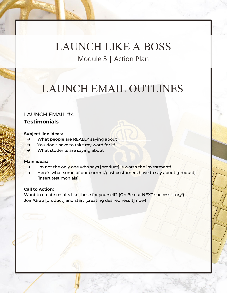# LAUNCH EMAIL OUTLINES

### LAUNCH EMAIL #4 **Testimonials**

#### **Subject line ideas:**

- → What people are REALLY saying about
- ➔ You don't have to take my word for it!
- → What students are saying about

### **Main ideas:**

- I'm not the only one who says [product] is worth the investment!
- Here's what some of our current/past customers have to say about [product]: [insert testimonials]

### **Call to Action:**

Want to create results like these for yourself? (Or: Be our NEXT success story!) Join/Grab [product] and start [creating desired result] now!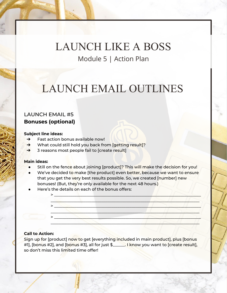# LAUNCH EMAIL OUTLINES

### LAUNCH EMAIL #5 **Bonuses (optional)**

#### **Subject line ideas:**

- ➔ Fast action bonus available now!
- ➔ What could still hold you back from [getting result]?
- ➔ 3 reasons most people fail to [create result]

### **Main ideas:**

- Still on the fence about joining [product]? This will make the decision for you!
- We've decided to make [the product] even better, because we want to ensure that you get the very best results possible. So, we created [number] new bonuses! (But, they're only available for the next 48 hours.)
- Here's the details on each of the bonus offers:

### **Call to Action:**

Sign up for [product] now to get [everything included in main product], plus [bonus #1], [bonus #2], and [bonus #3], all for just \$\_\_\_\_\_\_. I know you want to [create result], so don't miss this limited time offer!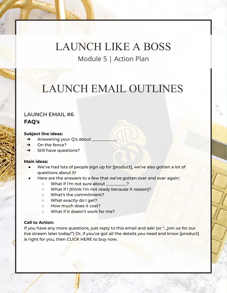# LAUNCH EMAIL OUTLINES

### LAUNCH EMAIL #6 **FAQ's**

#### **Subject line ideas:**

- → Answering your Q's about \_
- $\rightarrow$  On the fence?
- → Still have questions?

#### **Main ideas:**

- We've had lots of people sign up for [product], we've also gotten a lot of questions about it!
- Here are the answers to a few that we've gotten over and over again:
	- What if I'm not sure about \_\_\_\_\_\_\_\_\_\_?
	- What if I [think I'm not ready because X reason]?
	- What's the commitment?
	- What exactly do I get?
	- How much does it cost?
	- What if it doesn't work for me?

### **Call to Action:**

If you have any more questions, just reply to this email and ask! (or "...join us for our live stream later today!") Or, if you've got all the details you need and know [product] is right for you, then CLICK HERE to buy now.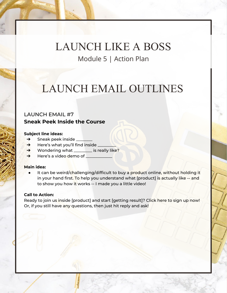# LAUNCH EMAIL OUTLINES

### LAUNCH EMAIL #7 **Sneak Peek Inside the Course**

### **Subject line ideas:**

- $\rightarrow$  Sneak peek inside
- $\rightarrow$  Here's what you'll find inside
- → Wondering what \_\_\_\_\_\_\_\_ is really like?
- → Here's a video demo of <u>Demondational</u>

### **Main idea:**

It can be weird/challenging/difficult to buy a product online, without holding it in your hand first. To help you understand what [product] is actually like -- and to show you how it works -- I made you a little video!

### **Call to Action:**

Ready to join us inside [product] and start [getting result]? Click here to sign up now! Or, if you still have any questions, then just hit reply and ask!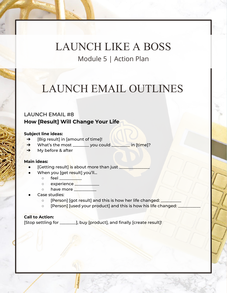### LAUNCH EMAIL OUTLINES

### LAUNCH EMAIL #8 **How [Result] Will Change Your Life**

#### **Subject line ideas:**

- **→** [Big result] in [amount of time]!
- → What's the most \_\_\_\_\_\_\_\_ you could \_\_\_\_\_\_\_ in [time]?
- $\rightarrow$  My before & after

### **Main ideas:**

- [Getting result] is about more than just
- When you [get result] you'll...
	- $\circ$  feel  $\qquad \qquad \bullet$
	- o experience \_\_\_\_\_\_\_\_
	- o have more
- Case studies:
	- o [Person] [got result] and this is how her life changed:
	- o [Person] [used your product] and this is how his life changed:

### **Call to Action:**

[Stop settling for \_\_\_\_\_\_\_\_], buy [product], and finally [create result]!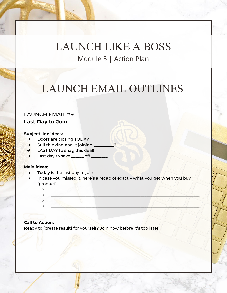# LAUNCH EMAIL OUTLINES

### LAUNCH EMAIL #9 **Last Day to Join**

#### **Subject line ideas:**

- → Doors are closing TODAY
- → Still thinking about joining
- → LAST DAY to snag this deal!
- → Last day to save <u>examed off</u>

### **Main ideas:**

- Today is the last day to join!
- In case you missed it, here's a recap of exactly what you get when you buy [product]:

### **Call to Action:**

Ready to [create result] for yourself? Join now before it's too late!